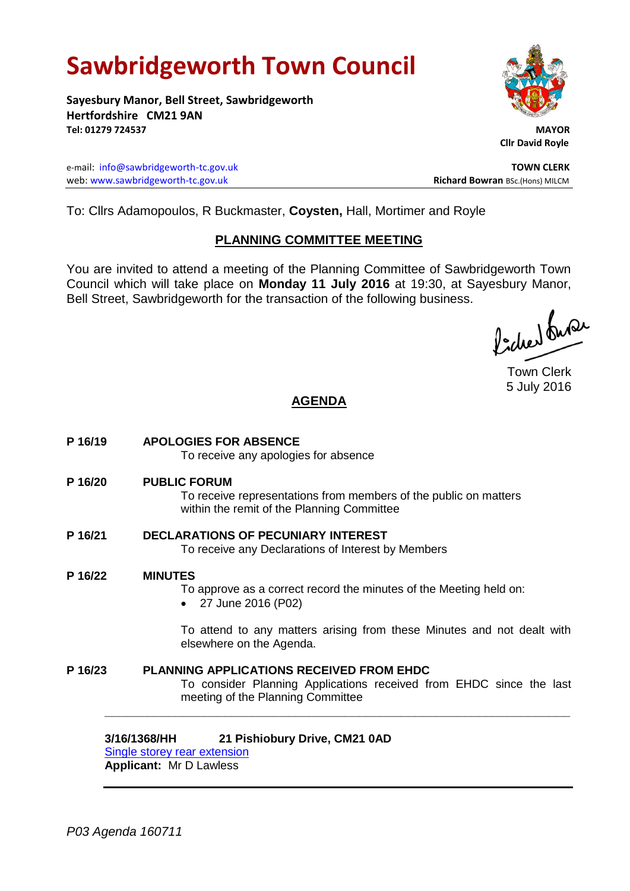# **Sawbridgeworth Town Council**

**Sayesbury Manor, Bell Street, Sawbridgeworth Hertfordshire CM21 9AN Tel: 01279 724537 MAYOR**

e-mail: [info@sawbridgeworth-tc.gov.uk](mailto:info@sawbridgeworth-tc.gov.uk) **TOWN CLERK** web: www.sawbridgeworth-tc.gov.uk<br>
Richard Bowran BSc.(Hons) MILCM



 **Cllr David Royle**

To: Cllrs Adamopoulos, R Buckmaster, **Coysten,** Hall, Mortimer and Royle

## **PLANNING COMMITTEE MEETING**

You are invited to attend a meeting of the Planning Committee of Sawbridgeworth Town Council which will take place on **Monday 11 July 2016** at 19:30, at Sayesbury Manor, Bell Street, Sawbridgeworth for the transaction of the following business.

faction busi

Town Clerk 5 July 2016

# **AGENDA**

**P 16/19 APOLOGIES FOR ABSENCE** To receive any apologies for absence **P 16/20 PUBLIC FORUM** To receive representations from members of the public on matters within the remit of the Planning Committee **P 16/21 DECLARATIONS OF PECUNIARY INTEREST** To receive any Declarations of Interest by Members **P 16/22 MINUTES** To approve as a correct record the minutes of the Meeting held on: 27 June 2016 (P02) To attend to any matters arising from these Minutes and not dealt with elsewhere on the Agenda. **P 16/23 PLANNING APPLICATIONS RECEIVED FROM EHDC** To consider Planning Applications received from EHDC since the last meeting of the Planning Committee **\_\_\_\_\_\_\_\_\_\_\_\_\_\_\_\_\_\_\_\_\_\_\_\_\_\_\_\_\_\_\_\_\_\_\_\_\_\_\_\_\_\_\_\_\_\_\_\_\_\_\_\_\_\_\_\_\_\_\_\_\_\_\_\_\_\_**

**3/16/1368/HH 21 Pishiobury Drive, CM21 0AD** [Single storey rear extension](https://publicaccess.eastherts.gov.uk/online-applications/applicationDetails.do?activeTab=summary&keyVal=O8P87JGL00B00)

**Applicant:** Mr D Lawless